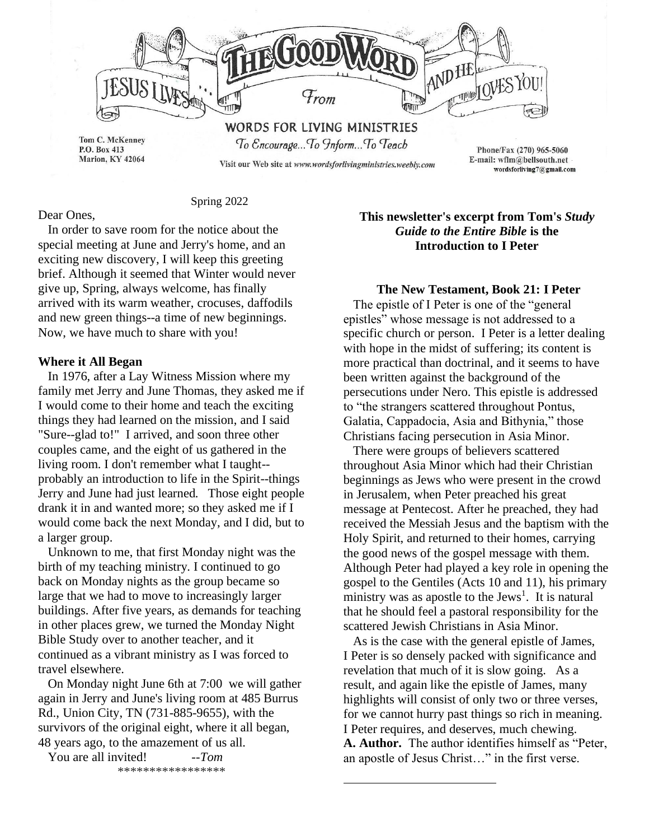

Spring 2022

# Dear Ones,

 In order to save room for the notice about the special meeting at June and Jerry's home, and an exciting new discovery, I will keep this greeting brief. Although it seemed that Winter would never give up, Spring, always welcome, has finally arrived with its warm weather, crocuses, daffodils and new green things--a time of new beginnings. Now, we have much to share with you!

### **Where it All Began**

In 1976, after a Lay Witness Mission where my family met Jerry and June Thomas, they asked me if I would come to their home and teach the exciting things they had learned on the mission, and I said "Sure--glad to!" I arrived, and soon three other couples came, and the eight of us gathered in the living room. I don't remember what I taught- probably an introduction to life in the Spirit--things Jerry and June had just learned. Those eight people drank it in and wanted more; so they asked me if I would come back the next Monday, and I did, but to a larger group.

 Unknown to me, that first Monday night was the birth of my teaching ministry. I continued to go back on Monday nights as the group became so large that we had to move to increasingly larger buildings. After five years, as demands for teaching in other places grew, we turned the Monday Night Bible Study over to another teacher, and it continued as a vibrant ministry as I was forced to travel elsewhere.

 On Monday night June 6th at 7:00 we will gather again in Jerry and June's living room at 485 Burrus Rd., Union City, TN (731-885-9655), with the survivors of the original eight, where it all began, 48 years ago, to the amazement of us all.

 You are all invited! *--Tom* \*\*\*\*\*\*\*\*\*\*\*\*\*\*\*\*\*

# **This newsletter's excerpt from Tom's** *Study Guide to the Entire Bible* **is the Introduction to I Peter**

## **The New Testament, Book 21: I Peter**

 The epistle of I Peter is one of the "general epistles" whose message is not addressed to a specific church or person. I Peter is a letter dealing with hope in the midst of suffering; its content is more practical than doctrinal, and it seems to have been written against the background of the persecutions under Nero. This epistle is addressed to "the strangers scattered throughout Pontus, Galatia, Cappadocia, Asia and Bithynia," those Christians facing persecution in Asia Minor.

 There were groups of believers scattered throughout Asia Minor which had their Christian beginnings as Jews who were present in the crowd in Jerusalem, when Peter preached his great message at Pentecost. After he preached, they had received the Messiah Jesus and the baptism with the Holy Spirit, and returned to their homes, carrying the good news of the gospel message with them. Although Peter had played a key role in opening the gospel to the Gentiles (Acts 10 and 11), his primary ministry was as apostle to the Jews<sup>1</sup>. It is natural that he should feel a pastoral responsibility for the scattered Jewish Christians in Asia Minor.

 As is the case with the general epistle of James, I Peter is so densely packed with significance and revelation that much of it is slow going. As a result, and again like the epistle of James, many highlights will consist of only two or three verses, for we cannot hurry past things so rich in meaning. I Peter requires, and deserves, much chewing. **A. Author.** The author identifies himself as "Peter, an apostle of Jesus Christ…" in the first verse.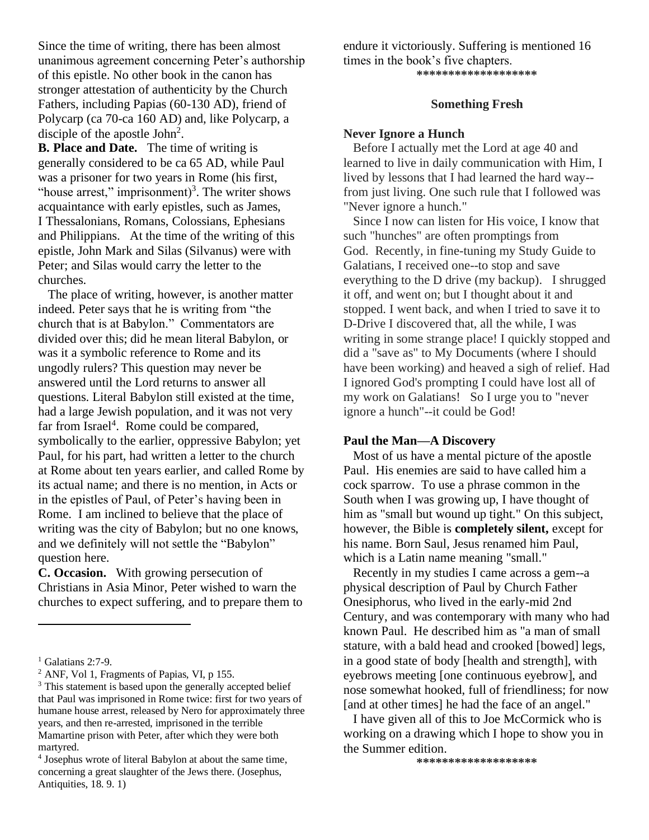Since the time of writing, there has been almost unanimous agreement concerning Peter's authorship of this epistle. No other book in the canon has stronger attestation of authenticity by the Church Fathers, including Papias (60-130 AD), friend of Polycarp (ca 70-ca 160 AD) and, like Polycarp, a disciple of the apostle  $John<sup>2</sup>$ .

**B. Place and Date.** The time of writing is generally considered to be ca 65 AD, while Paul was a prisoner for two years in Rome (his first, "house arrest," imprisonment)<sup>3</sup>. The writer shows acquaintance with early epistles, such as James, I Thessalonians, Romans, Colossians, Ephesians and Philippians. At the time of the writing of this epistle, John Mark and Silas (Silvanus) were with Peter; and Silas would carry the letter to the churches.

 The place of writing, however, is another matter indeed. Peter says that he is writing from "the church that is at Babylon." Commentators are divided over this; did he mean literal Babylon, or was it a symbolic reference to Rome and its ungodly rulers? This question may never be answered until the Lord returns to answer all questions. Literal Babylon still existed at the time, had a large Jewish population, and it was not very far from Israel<sup>4</sup>. Rome could be compared, symbolically to the earlier, oppressive Babylon; yet Paul, for his part, had written a letter to the church at Rome about ten years earlier, and called Rome by its actual name; and there is no mention, in Acts or in the epistles of Paul, of Peter's having been in Rome. I am inclined to believe that the place of writing was the city of Babylon; but no one knows, and we definitely will not settle the "Babylon" question here.

**C. Occasion.** With growing persecution of Christians in Asia Minor, Peter wished to warn the churches to expect suffering, and to prepare them to endure it victoriously. Suffering is mentioned 16 times in the book's five chapters. **\*\*\*\*\*\*\*\*\*\*\*\*\*\*\*\*\*\*\***

### **Something Fresh**

#### **Never Ignore a Hunch**

 Before I actually met the Lord at age 40 and learned to live in daily communication with Him, I lived by lessons that I had learned the hard way- from just living. One such rule that I followed was "Never ignore a hunch."

Since I now can listen for His voice, I know that such "hunches" are often promptings from God. Recently, in fine-tuning my Study Guide to Galatians, I received one--to stop and save everything to the D drive (my backup). I shrugged it off, and went on; but I thought about it and stopped. I went back, and when I tried to save it to D-Drive I discovered that, all the while, I was writing in some strange place! I quickly stopped and did a "save as" to My Documents (where I should have been working) and heaved a sigh of relief. Had I ignored God's prompting I could have lost all of my work on Galatians! So I urge you to "never ignore a hunch"--it could be God!

### **Paul the Man—A Discovery**

 Most of us have a mental picture of the apostle Paul. His enemies are said to have called him a cock sparrow. To use a phrase common in the South when I was growing up, I have thought of him as "small but wound up tight." On this subject, however, the Bible is **completely silent,** except for his name. Born Saul, Jesus renamed him Paul, which is a Latin name meaning "small."

 Recently in my studies I came across a gem--a physical description of Paul by Church Father Onesiphorus, who lived in the early-mid 2nd Century, and was contemporary with many who had known Paul. He described him as "a man of small stature, with a bald head and crooked [bowed] legs, in a good state of body [health and strength], with eyebrows meeting [one continuous eyebrow], and nose somewhat hooked, full of friendliness; for now [and at other times] he had the face of an angel."

 I have given all of this to Joe McCormick who is working on a drawing which I hope to show you in the Summer edition.

**\*\*\*\*\*\*\*\*\*\*\*\*\*\*\*\*\*\*\***

 $1$  Galatians 2:7-9.

<sup>2</sup> ANF, Vol 1, Fragments of Papias, VI, p 155.

<sup>&</sup>lt;sup>3</sup> This statement is based upon the generally accepted belief that Paul was imprisoned in Rome twice: first for two years of humane house arrest, released by Nero for approximately three years, and then re-arrested, imprisoned in the terrible Mamartine prison with Peter, after which they were both martyred.

<sup>4</sup> Josephus wrote of literal Babylon at about the same time, concerning a great slaughter of the Jews there. (Josephus, Antiquities, 18. 9. 1)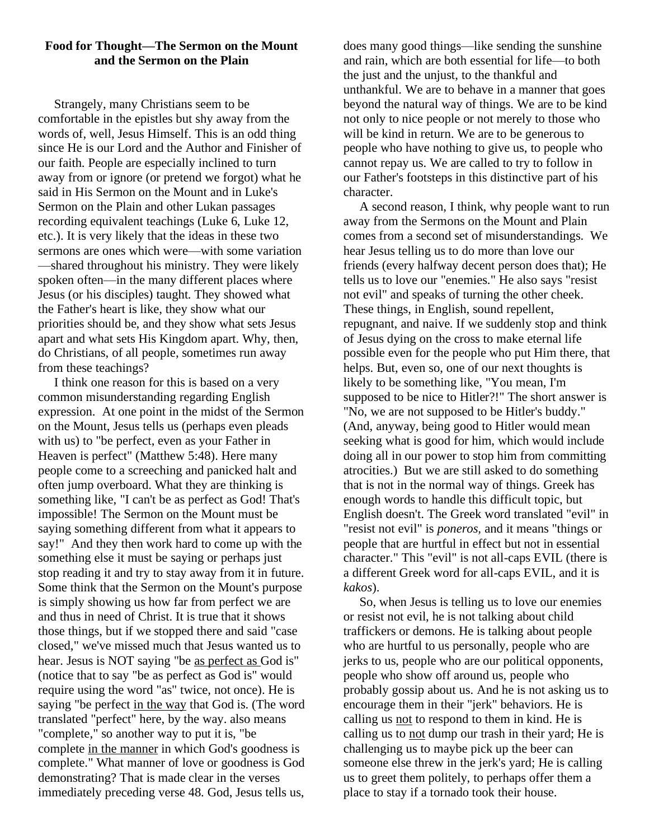# **Food for Thought—The Sermon on the Mount and the Sermon on the Plain**

 Strangely, many Christians seem to be comfortable in the epistles but shy away from the words of, well, Jesus Himself. This is an odd thing since He is our Lord and the Author and Finisher of our faith. People are especially inclined to turn away from or ignore (or pretend we forgot) what he said in His Sermon on the Mount and in Luke's Sermon on the Plain and other Lukan passages recording equivalent teachings (Luke 6, Luke 12, etc.). It is very likely that the ideas in these two sermons are ones which were—with some variation —shared throughout his ministry. They were likely spoken often—in the many different places where Jesus (or his disciples) taught. They showed what the Father's heart is like, they show what our priorities should be, and they show what sets Jesus apart and what sets His Kingdom apart. Why, then, do Christians, of all people, sometimes run away from these teachings?

 I think one reason for this is based on a very common misunderstanding regarding English expression. At one point in the midst of the Sermon on the Mount, Jesus tells us (perhaps even pleads with us) to "be perfect, even as your Father in Heaven is perfect" (Matthew 5:48). Here many people come to a screeching and panicked halt and often jump overboard. What they are thinking is something like, "I can't be as perfect as God! That's impossible! The Sermon on the Mount must be saying something different from what it appears to say!" And they then work hard to come up with the something else it must be saying or perhaps just stop reading it and try to stay away from it in future. Some think that the Sermon on the Mount's purpose is simply showing us how far from perfect we are and thus in need of Christ. It is true that it shows those things, but if we stopped there and said "case closed," we've missed much that Jesus wanted us to hear. Jesus is NOT saying "be as perfect as God is" (notice that to say "be as perfect as God is" would require using the word "as" twice, not once). He is saying "be perfect in the way that God is. (The word translated "perfect" here, by the way. also means "complete," so another way to put it is, "be complete in the manner in which God's goodness is complete." What manner of love or goodness is God demonstrating? That is made clear in the verses immediately preceding verse 48. God, Jesus tells us,

does many good things—like sending the sunshine and rain, which are both essential for life—to both the just and the unjust, to the thankful and unthankful. We are to behave in a manner that goes beyond the natural way of things. We are to be kind not only to nice people or not merely to those who will be kind in return. We are to be generous to people who have nothing to give us, to people who cannot repay us. We are called to try to follow in our Father's footsteps in this distinctive part of his character.

 A second reason, I think, why people want to run away from the Sermons on the Mount and Plain comes from a second set of misunderstandings. We hear Jesus telling us to do more than love our friends (every halfway decent person does that); He tells us to love our "enemies." He also says "resist not evil" and speaks of turning the other cheek. These things, in English, sound repellent, repugnant, and naive. If we suddenly stop and think of Jesus dying on the cross to make eternal life possible even for the people who put Him there, that helps. But, even so, one of our next thoughts is likely to be something like, "You mean, I'm supposed to be nice to Hitler?!" The short answer is "No, we are not supposed to be Hitler's buddy." (And, anyway, being good to Hitler would mean seeking what is good for him, which would include doing all in our power to stop him from committing atrocities.) But we are still asked to do something that is not in the normal way of things. Greek has enough words to handle this difficult topic, but English doesn't. The Greek word translated "evil" in "resist not evil" is *poneros,* and it means "things or people that are hurtful in effect but not in essential character." This "evil" is not all-caps EVIL (there is a different Greek word for all-caps EVIL, and it is *kakos*).

 So, when Jesus is telling us to love our enemies or resist not evil, he is not talking about child traffickers or demons. He is talking about people who are hurtful to us personally, people who are jerks to us, people who are our political opponents, people who show off around us, people who probably gossip about us. And he is not asking us to encourage them in their "jerk" behaviors. He is calling us not to respond to them in kind. He is calling us to not dump our trash in their yard; He is challenging us to maybe pick up the beer can someone else threw in the jerk's yard; He is calling us to greet them politely, to perhaps offer them a place to stay if a tornado took their house.